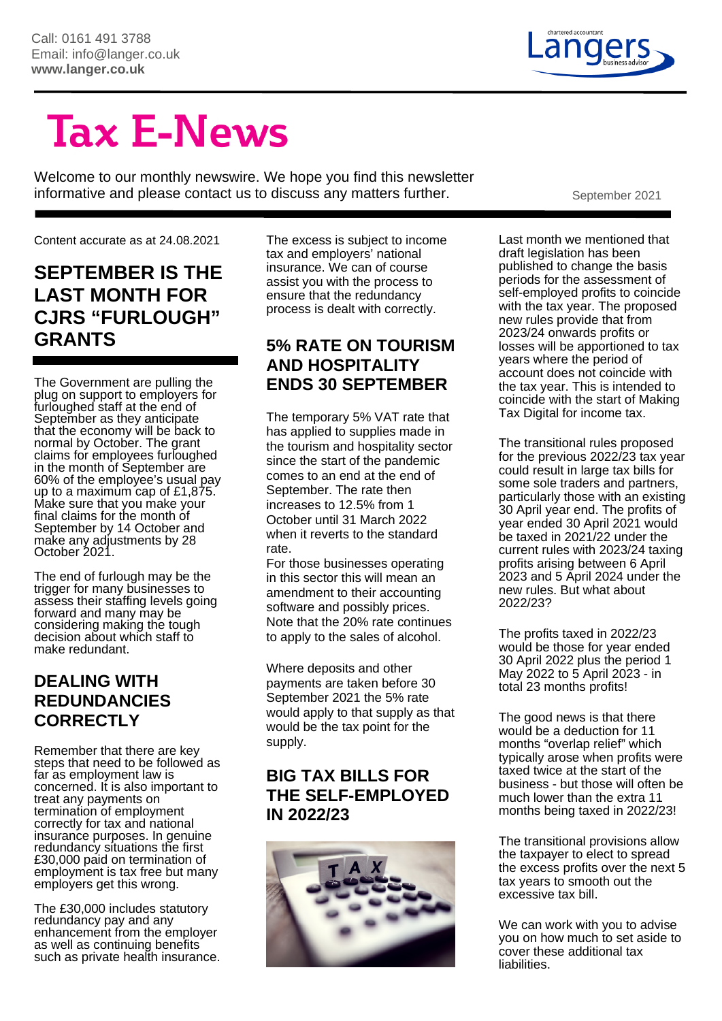

# **Tax E-News**

Welcome to our monthly newswire. We hope you find this newsletter informative and please contact us to discuss any matters further. September 2021

Content accurate as at 24.08.2021

#### **SEPTEMBER IS THE LAST MONTH FOR CJRS "FURLOUGH" GRANTS**

The Government are pulling the plug on support to employers for furloughed staff at the end of September as they anticipate that the economy will be back to normal by October. The grant claims for employees furloughed in the month of September are 60% of the employee's usual pay up to a maximum cap of £1,875. Make sure that you make your final claims for the month of September by 14 October and make any adjustments by 28 October 2021.

The end of furlough may be the trigger for many businesses to assess their staffing levels going forward and many may be considering making the tough decision about which staff to make redundant.

#### **DEALING WITH REDUNDANCIES CORRECTLY**

Remember that there are key steps that need to be followed as far as employment law is concerned. It is also important to treat any payments on termination of employment correctly for tax and national insurance purposes. In genuine redundancy situations the first £30,000 paid on termination of employment is tax free but many employers get this wrong.

The £30,000 includes statutory redundancy pay and any enhancement from the employer as well as continuing benefits such as private health insurance. The excess is subject to income tax and employers' national insurance. We can of course assist you with the process to ensure that the redundancy process is dealt with correctly.

#### **5% RATE ON TOURISM AND HOSPITALITY ENDS 30 SEPTEMBER**

The temporary 5% VAT rate that has applied to supplies made in the tourism and hospitality sector since the start of the pandemic comes to an end at the end of September. The rate then increases to 12.5% from 1 October until 31 March 2022 when it reverts to the standard rate.

For those businesses operating in this sector this will mean an amendment to their accounting software and possibly prices. Note that the 20% rate continues to apply to the sales of alcohol.

Where deposits and other payments are taken before 30 September 2021 the 5% rate would apply to that supply as that would be the tax point for the supply.

#### **BIG TAX BILLS FOR THE SELF-EMPLOYED IN 2022/23**



Last month we mentioned that draft legislation has been published to change the basis periods for the assessment of self-employed profits to coincide with the tax year. The proposed new rules provide that from 2023/24 onwards profits or losses will be apportioned to tax years where the period of account does not coincide with the tax year. This is intended to coincide with the start of Making Tax Digital for income tax.

The transitional rules proposed for the previous 2022/23 tax year could result in large tax bills for some sole traders and partners, particularly those with an existing 30 April year end. The profits of year ended 30 April 2021 would be taxed in 2021/22 under the current rules with 2023/24 taxing profits arising between 6 April 2023 and 5 April 2024 under the new rules. But what about 2022/23?

The profits taxed in 2022/23 would be those for year ended 30 April 2022 plus the period 1 May 2022 to 5 April 2023 - in total 23 months profits!

The good news is that there would be a deduction for 11 months "overlap relief" which typically arose when profits were taxed twice at the start of the business - but those will often be much lower than the extra 11 months being taxed in 2022/23!

The transitional provisions allow the taxpayer to elect to spread the excess profits over the next 5 tax years to smooth out the excessive tax bill.

We can work with you to advise you on how much to set aside to cover these additional tax liabilities.